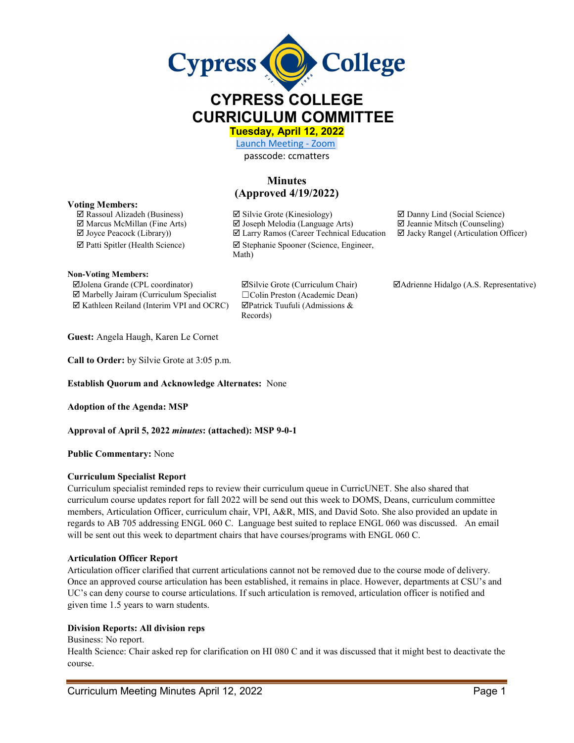

# **CYPRESS COLLEGE CURRICULUM COMMITTEE**

**Tuesday, April 12, 2022** 

[Launch Meeting - Zoom](https://cypresscollege-edu.zoom.us/j/96161669542?pwd=OWYraHlaR0UzOE9QYU9NaXlnSjRIZz09#success)  passcode: ccmatters

# **Minutes (Approved 4/19/2022)**

#### **Voting Members:**

 $\Box$  Rassoul Alizadeh (Business)  $\Box$  Silvie Grote (Kinesiology)  $\Box$  Danny Lind (Social Science)  $\Box$  Marcus McMillan (Fine Arts)  $\Box$  Joseph Melodia (Language Arts)  $\Box$  Jeannie Mitsch (Counseling)  $\Box$  Joyce Peacock (Library))  $\Box$  Larry Ramos (Career Technical Education  $\Box$  Jacky Rangel (Articulation C  $\boxtimes$  Larry Ramos (Career Technical Education  $\boxtimes$  Jacky Rangel (Articulation Officer)  $\boxtimes$  Patti Spitler (Health Science)  $\boxtimes$  Stephanie Spooner (Science, Engineer, Math)

**Non-Voting Members:**

 Marbelly Jairam (Curriculum Specialist ☐Colin Preston (Academic Dean)  $\boxtimes$  Kathleen Reiland (Interim VPI and OCRC)  $\boxtimes$  Patrick Tuufuli (Admissions &

Records)

Jolena Grande (CPL coordinator) Silvie Grote (Curriculum Chair) Adrienne Hidalgo (A.S. Representative)

**Guest:** Angela Haugh, Karen Le Cornet

**Call to Order:** by Silvie Grote at 3:05 p.m.

**Establish Quorum and Acknowledge Alternates:** None

**Adoption of the Agenda: MSP**

**Approval of April 5, 2022** *minutes***: (attached): MSP 9-0-1**

**Public Commentary:** None

#### **Curriculum Specialist Report**

Curriculum specialist reminded reps to review their curriculum queue in CurricUNET. She also shared that curriculum course updates report for fall 2022 will be send out this week to DOMS, Deans, curriculum committee members, Articulation Officer, curriculum chair, VPI, A&R, MIS, and David Soto. She also provided an update in regards to AB 705 addressing ENGL 060 C. Language best suited to replace ENGL 060 was discussed. An email will be sent out this week to department chairs that have courses/programs with ENGL 060 C.

#### **Articulation Officer Report**

Articulation officer clarified that current articulations cannot not be removed due to the course mode of delivery. Once an approved course articulation has been established, it remains in place. However, departments at CSU's and UC's can deny course to course articulations. If such articulation is removed, articulation officer is notified and given time 1.5 years to warn students.

## **Division Reports: All division reps**

Business: No report.

Health Science: Chair asked rep for clarification on HI 080 C and it was discussed that it might best to deactivate the course.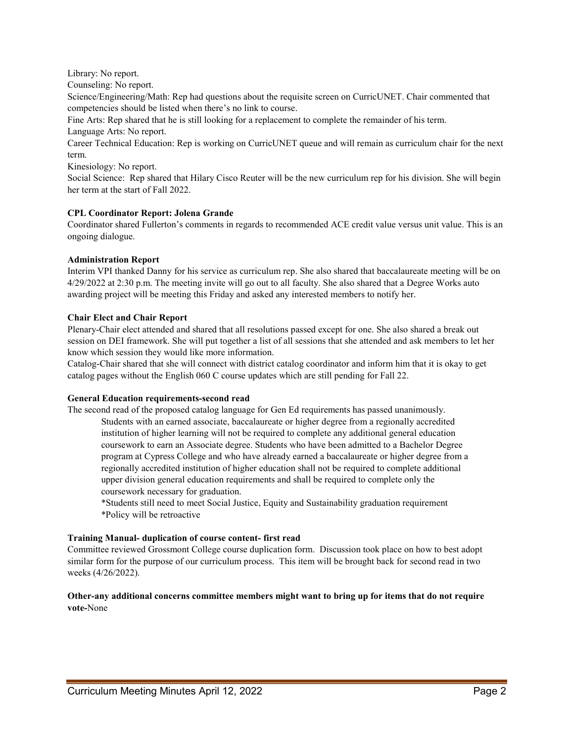Library: No report.

Counseling: No report.

Science/Engineering/Math: Rep had questions about the requisite screen on CurricUNET. Chair commented that competencies should be listed when there's no link to course.

Fine Arts: Rep shared that he is still looking for a replacement to complete the remainder of his term. Language Arts: No report.

Career Technical Education: Rep is working on CurricUNET queue and will remain as curriculum chair for the next term.

Kinesiology: No report.

Social Science: Rep shared that Hilary Cisco Reuter will be the new curriculum rep for his division. She will begin her term at the start of Fall 2022.

#### **CPL Coordinator Report: Jolena Grande**

Coordinator shared Fullerton's comments in regards to recommended ACE credit value versus unit value. This is an ongoing dialogue.

#### **Administration Report**

Interim VPI thanked Danny for his service as curriculum rep. She also shared that baccalaureate meeting will be on 4/29/2022 at 2:30 p.m. The meeting invite will go out to all faculty. She also shared that a Degree Works auto awarding project will be meeting this Friday and asked any interested members to notify her.

### **Chair Elect and Chair Report**

Plenary-Chair elect attended and shared that all resolutions passed except for one. She also shared a break out session on DEI framework. She will put together a list of all sessions that she attended and ask members to let her know which session they would like more information.

Catalog-Chair shared that she will connect with district catalog coordinator and inform him that it is okay to get catalog pages without the English 060 C course updates which are still pending for Fall 22.

#### **General Education requirements-second read**

The second read of the proposed catalog language for Gen Ed requirements has passed unanimously. Students with an earned associate, baccalaureate or higher degree from a regionally accredited institution of higher learning will not be required to complete any additional general education coursework to earn an Associate degree. Students who have been admitted to a Bachelor Degree program at Cypress College and who have already earned a baccalaureate or higher degree from a regionally accredited institution of higher education shall not be required to complete additional upper division general education requirements and shall be required to complete only the coursework necessary for graduation.

\*Students still need to meet Social Justice, Equity and Sustainability graduation requirement \*Policy will be retroactive

#### **Training Manual- duplication of course content- first read**

Committee reviewed Grossmont College course duplication form. Discussion took place on how to best adopt similar form for the purpose of our curriculum process. This item will be brought back for second read in two weeks (4/26/2022).

### **Other-any additional concerns committee members might want to bring up for items that do not require vote-**None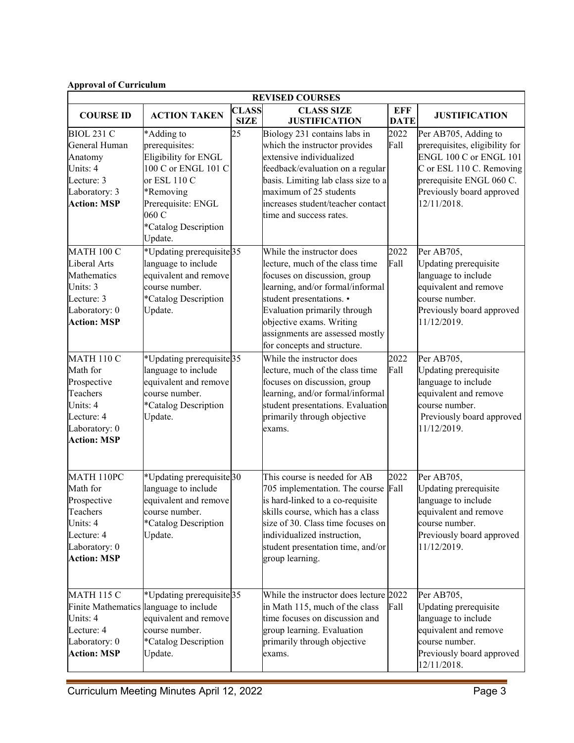#### **SIZE JUSTIFICATION DATE JUSTIFICATION** BIOL 231 C General Human Anatomy Units: 4 Lecture: 3 Laboratory: 3 **Action: MSP**  \*Adding to prerequisites: Eligibility for ENGL 100 C or ENGL 101 C or ESL 110 C \*Removing Prerequisite: ENGL 060 C \*Catalog Description Update. 25 Biology 231 contains labs in which the instructor provides extensive individualized feedback/evaluation on a regular basis. Limiting lab class size to a maximum of 25 students increases student/teacher contact time and success rates. 2022 Fall Per AB705, Adding to prerequisites, eligibility for ENGL 100 C or ENGL 101 C or ESL 110 C. Removing prerequisite ENGL 060 C. Previously board approved 12/11/2018. MATH 100 C Liberal Arts Mathematics Units: 3 Lecture: 3 Laboratory: 0 **Action: MSP**  \*Updating prerequisite language to include equivalent and remove course number. \*Catalog Description Update. While the instructor does lecture, much of the class time focuses on discussion, group learning, and/or formal/informal student presentations. • Evaluation primarily through objective exams. Writing assignments are assessed mostly for concepts and structure. 2022 Fall Per AB705, Updating prerequisite language to include equivalent and remove course number. Previously board approved 11/12/2019. MATH 110 C Math for Prospective Teachers Units: 4 Lecture: 4 Laboratory: 0 **Action: MSP**  \*Updating prerequisite language to include equivalent and remove course number. \*Catalog Description Update. While the instructor does lecture, much of the class time focuses on discussion, group learning, and/or formal/informal student presentations. Evaluation primarily through objective exams. 2022 Fall Per AB705. Updating prerequisite language to include equivalent and remove course number. Previously board approved 11/12/2019. MATH 110PC Math for Prospective Teachers Units: 4 Lecture: 4 Laboratory: 0 **Action: MSP**  \*Updating prerequisite language to include equivalent and remove course number. \*Catalog Description Update. This course is needed for AB 705 implementation. The course Fall is hard-linked to a co-requisite skills course, which has a class size of 30. Class time focuses on individualized instruction, student presentation time, and/or group learning. 2022 Per AB705, Updating prerequisite language to include equivalent and remove course number. Previously board approved 11/12/2019. MATH 115 C \*Updating prerequisite Per AB705.

35 While the instructor does lecture 2022 in Math 115, much of the class time focuses on discussion and group learning. Evaluation primarily through objective

Fall

exams.

**REVISED COURSES**

**CLASS SIZE** 

**EFF** 

# **Approval of Curriculum**

**COURSE ID ACTION TAKEN CLASS** 

Update.

language to include equivalent and remove course number. \*Catalog Description

Finite Mathematics

Units: 4 Lecture: 4 Laboratory: 0 **Action: MSP**  Updating prerequisite language to include equivalent and remove

Previously board approved

course number.

12/11/2018.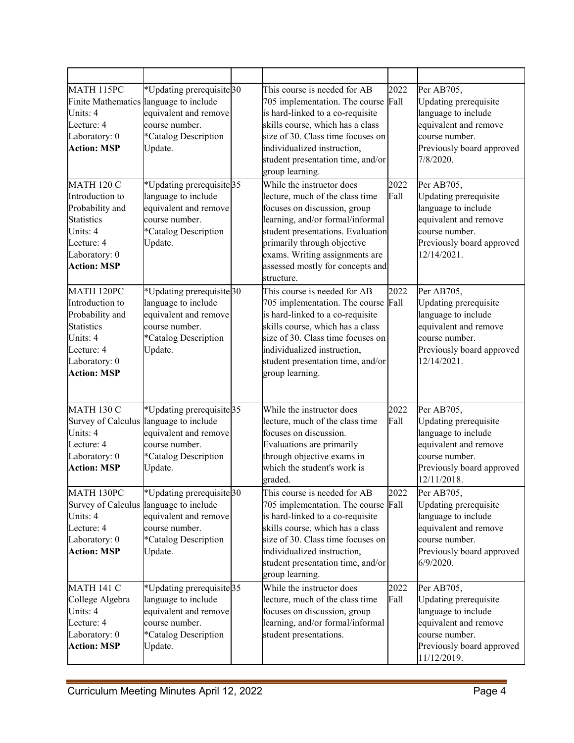| MATH 115PC<br>Units: 4<br>Lecture: 4<br>Laboratory: 0<br><b>Action: MSP</b>                                                                   | *Updating prerequisite 30<br>Finite Mathematics language to include<br>equivalent and remove<br>course number.<br>*Catalog Description<br>Update.            | This course is needed for AB<br>705 implementation. The course<br>is hard-linked to a co-requisite<br>skills course, which has a class<br>size of 30. Class time focuses on<br>individualized instruction,<br>student presentation time, and/or<br>group learning.                       | 2022<br>Fall | Per AB705,<br><b>Updating</b> prerequisite<br>language to include<br>equivalent and remove<br>course number.<br>Previously board approved<br>7/8/2020.   |
|-----------------------------------------------------------------------------------------------------------------------------------------------|--------------------------------------------------------------------------------------------------------------------------------------------------------------|------------------------------------------------------------------------------------------------------------------------------------------------------------------------------------------------------------------------------------------------------------------------------------------|--------------|----------------------------------------------------------------------------------------------------------------------------------------------------------|
| <b>MATH 120 C</b><br>Introduction to<br>Probability and<br><b>Statistics</b><br>Units: 4<br>Lecture: 4<br>Laboratory: 0<br><b>Action: MSP</b> | *Updating prerequisite <sup>35</sup><br>language to include<br>equivalent and remove<br>course number.<br>*Catalog Description<br>Update.                    | While the instructor does<br>lecture, much of the class time<br>focuses on discussion, group<br>learning, and/or formal/informal<br>student presentations. Evaluation<br>primarily through objective<br>exams. Writing assignments are<br>assessed mostly for concepts and<br>structure. | 2022<br>Fall | Per AB705,<br><b>Updating</b> prerequisite<br>language to include<br>equivalent and remove<br>course number.<br>Previously board approved<br>12/14/2021. |
| MATH 120PC<br>Introduction to<br>Probability and<br><b>Statistics</b><br>Units: 4<br>Lecture: 4<br>Laboratory: 0<br><b>Action: MSP</b>        | *Updating prerequisite <sup>30</sup><br>language to include<br>equivalent and remove<br>course number.<br>*Catalog Description<br>Update.                    | This course is needed for AB<br>705 implementation. The course Fall<br>is hard-linked to a co-requisite<br>skills course, which has a class<br>size of 30. Class time focuses on<br>individualized instruction,<br>student presentation time, and/or<br>group learning.                  | 2022         | Per AB705,<br><b>Updating</b> prerequisite<br>language to include<br>equivalent and remove<br>course number.<br>Previously board approved<br>12/14/2021. |
| <b>MATH 130 C</b><br>Survey of Calculus<br>Units: 4<br>Lecture: 4<br>Laboratory: 0<br><b>Action: MSP</b>                                      | *Updating prerequisite <sup>35</sup><br>language to include<br>equivalent and remove<br>course number.<br>*Catalog Description<br>Update.                    | While the instructor does<br>lecture, much of the class time<br>focuses on discussion.<br>Evaluations are primarily<br>through objective exams in<br>which the student's work is<br>graded.                                                                                              | 2022<br>Fall | Per AB705,<br><b>Updating</b> prerequisite<br>language to include<br>equivalent and remove<br>course number.<br>Previously board approved<br>12/11/2018. |
| MATH 130PC<br>Units: 4<br>Lecture: 4<br>Laboratory: 0<br><b>Action: MSP</b>                                                                   | *Updating prerequisite <sup>30</sup><br>Survey of Calculus language to include<br>equivalent and remove<br>course number.<br>*Catalog Description<br>Update. | This course is needed for AB<br>705 implementation. The course<br>is hard-linked to a co-requisite<br>skills course, which has a class<br>size of 30. Class time focuses on<br>individualized instruction,<br>student presentation time, and/or<br>group learning.                       | 2022<br>Fall | Per AB705,<br>Updating prerequisite<br>language to include<br>equivalent and remove<br>course number.<br>Previously board approved<br>$6/9/2020$ .       |
| <b>MATH 141 C</b><br>College Algebra<br>Units: 4<br>Lecture: 4<br>Laboratory: 0<br><b>Action: MSP</b>                                         | *Updating prerequisite <sup>35</sup><br>language to include<br>equivalent and remove<br>course number.<br>*Catalog Description<br>Update.                    | While the instructor does<br>lecture, much of the class time<br>focuses on discussion, group<br>learning, and/or formal/informal<br>student presentations.                                                                                                                               | 2022<br>Fall | Per AB705,<br>Updating prerequisite<br>language to include<br>equivalent and remove<br>course number.<br>Previously board approved<br>11/12/2019.        |